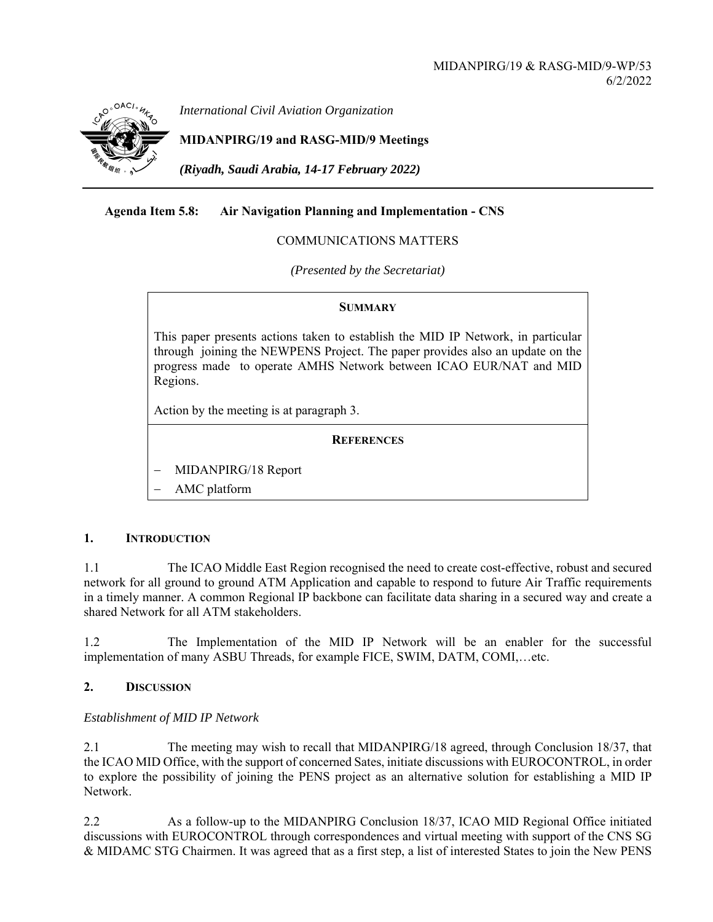

*International Civil Aviation Organization*

# **MIDANPIRG/19 and RASG-MID/9 Meetings**

*(Riyadh, Saudi Arabia, 14-17 February 2022)* 

## **Agenda Item 5.8: Air Navigation Planning and Implementation - CNS**

### COMMUNICATIONS MATTERS

*(Presented by the Secretariat)* 

#### **SUMMARY**

This paper presents actions taken to establish the MID IP Network, in particular through joining the NEWPENS Project. The paper provides also an update on the progress made to operate AMHS Network between ICAO EUR/NAT and MID Regions.

Action by the meeting is at paragraph 3.

## **REFERENCES**

MIDANPIRG/18 Report

AMC platform

#### **1. INTRODUCTION**

1.1 The ICAO Middle East Region recognised the need to create cost-effective, robust and secured network for all ground to ground ATM Application and capable to respond to future Air Traffic requirements in a timely manner. A common Regional IP backbone can facilitate data sharing in a secured way and create a shared Network for all ATM stakeholders.

1.2 The Implementation of the MID IP Network will be an enabler for the successful implementation of many ASBU Threads, for example FICE, SWIM, DATM, COMI,…etc.

## **2. DISCUSSION**

## *Establishment of MID IP Network*

2.1 The meeting may wish to recall that MIDANPIRG/18 agreed, through Conclusion 18/37, that the ICAO MID Office, with the support of concerned Sates, initiate discussions with EUROCONTROL, in order to explore the possibility of joining the PENS project as an alternative solution for establishing a MID IP Network.

2.2 As a follow-up to the MIDANPIRG Conclusion 18/37, ICAO MID Regional Office initiated discussions with EUROCONTROL through correspondences and virtual meeting with support of the CNS SG & MIDAMC STG Chairmen. It was agreed that as a first step, a list of interested States to join the New PENS